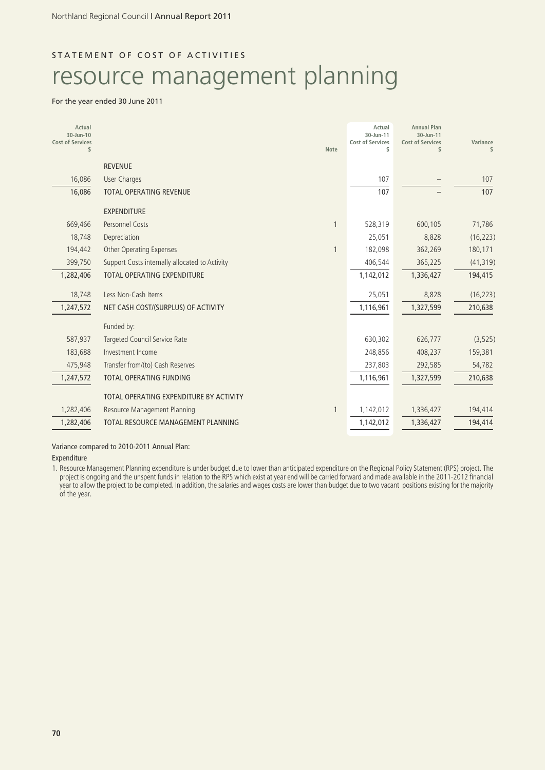## STATEMENT OF COST OF ACTIVITIES

# resource management planning

### For the year ended 30 June 2011

| Actual<br>30-Jun-10<br><b>Cost of Services</b><br>\$ |                                                | <b>Note</b> | Actual<br>30-Jun-11<br><b>Cost of Services</b><br>\$ | <b>Annual Plan</b><br>30-Jun-11<br><b>Cost of Services</b><br>\$ | Variance<br>\$ |
|------------------------------------------------------|------------------------------------------------|-------------|------------------------------------------------------|------------------------------------------------------------------|----------------|
|                                                      | <b>REVENUE</b>                                 |             |                                                      |                                                                  |                |
| 16,086                                               | <b>User Charges</b>                            |             | 107                                                  |                                                                  | 107            |
| 16,086                                               | <b>TOTAL OPERATING REVENUE</b>                 |             | 107                                                  |                                                                  | 107            |
|                                                      | <b>EXPENDITURE</b>                             |             |                                                      |                                                                  |                |
| 669,466                                              | <b>Personnel Costs</b>                         |             | 528,319                                              | 600,105                                                          | 71,786         |
| 18,748                                               | Depreciation                                   |             | 25,051                                               | 8,828                                                            | (16, 223)      |
| 194,442                                              | <b>Other Operating Expenses</b>                |             | 182,098                                              | 362,269                                                          | 180,171        |
| 399,750                                              | Support Costs internally allocated to Activity |             | 406,544                                              | 365,225                                                          | (41, 319)      |
| 1,282,406                                            | <b>TOTAL OPERATING EXPENDITURE</b>             |             | 1,142,012                                            | 1,336,427                                                        | 194,415        |
| 18,748                                               | Less Non-Cash Items                            |             | 25,051                                               | 8,828                                                            | (16, 223)      |
| 1,247,572                                            | NET CASH COST/(SURPLUS) OF ACTIVITY            |             | 1,116,961                                            | 1,327,599                                                        | 210,638        |
|                                                      | Funded by:                                     |             |                                                      |                                                                  |                |
| 587,937                                              | Targeted Council Service Rate                  |             | 630,302                                              | 626,777                                                          | (3, 525)       |
| 183,688                                              | Investment Income                              |             | 248,856                                              | 408,237                                                          | 159,381        |
| 475,948                                              | Transfer from/(to) Cash Reserves               |             | 237,803                                              | 292,585                                                          | 54,782         |
| 1,247,572                                            | <b>TOTAL OPERATING FUNDING</b>                 |             | 1,116,961                                            | 1,327,599                                                        | 210,638        |
|                                                      | TOTAL OPERATING EXPENDITURE BY ACTIVITY        |             |                                                      |                                                                  |                |
| 1,282,406                                            | <b>Resource Management Planning</b>            |             | 1,142,012                                            | 1,336,427                                                        | 194,414        |
| 1,282,406                                            | TOTAL RESOURCE MANAGEMENT PLANNING             |             | 1,142,012                                            | 1,336,427                                                        | 194,414        |

Variance compared to 2010-2011 Annual Plan:

Expenditure

1. Resource Management Planning expenditure is under budget due to lower than anticipated expenditure on the Regional Policy Statement (RPS) project. The project is ongoing and the unspent funds in relation to the RPS which exist at year end will be carried forward and made available in the 2011-2012 financial year to allow the project to be completed. In addition, the salaries and wages costs are lower than budget due to two vacant positions existing for the majority of the year.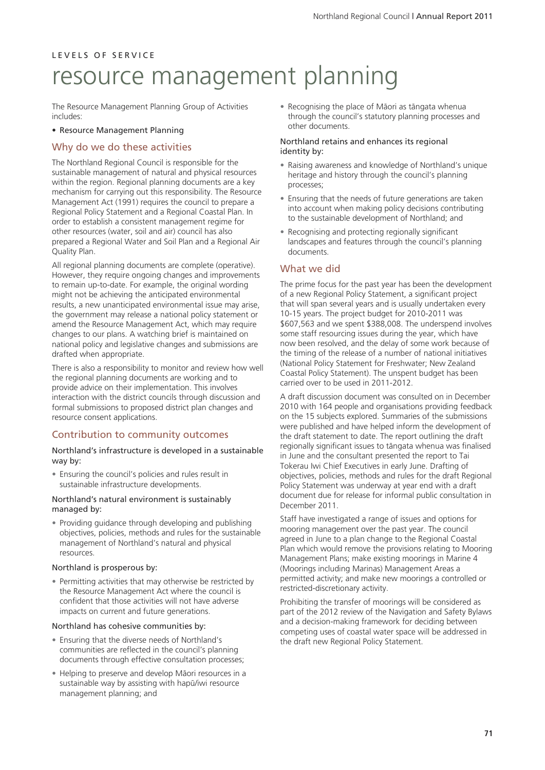The Resource Management Planning Group of Activities includes:

#### • Resource Management Planning

### Why do we do these activities

The Northland Regional Council is responsible for the sustainable management of natural and physical resources within the region. Regional planning documents are a key mechanism for carrying out this responsibility. The Resource Management Act (1991) requires the council to prepare a Regional Policy Statement and a Regional Coastal Plan. In order to establish a consistent management regime for other resources (water, soil and air) council has also prepared a Regional Water and Soil Plan and a Regional Air Quality Plan.

All regional planning documents are complete (operative). However, they require ongoing changes and improvements to remain up-to-date. For example, the original wording might not be achieving the anticipated environmental results, a new unanticipated environmental issue may arise, the government may release a national policy statement or amend the Resource Management Act, which may require changes to our plans. A watching brief is maintained on national policy and legislative changes and submissions are drafted when appropriate.

There is also a responsibility to monitor and review how well the regional planning documents are working and to provide advice on their implementation. This involves interaction with the district councils through discussion and formal submissions to proposed district plan changes and resource consent applications.

### Contribution to community outcomes

#### Northland's infrastructure is developed in a sustainable way by:

• Ensuring the council's policies and rules result in sustainable infrastructure developments.

#### Northland's natural environment is sustainably managed by:

• Providing guidance through developing and publishing objectives, policies, methods and rules for the sustainable management of Northland's natural and physical resources.

#### Northland is prosperous by:

• Permitting activities that may otherwise be restricted by the Resource Management Act where the council is confident that those activities will not have adverse impacts on current and future generations.

#### Northland has cohesive communities by:

- Ensuring that the diverse needs of Northland's communities are reflected in the council's planning documents through effective consultation processes;
- Helping to preserve and develop Mäori resources in a sustainable way by assisting with hapü/iwi resource management planning; and

• Recognising the place of Mäori as tängata whenua through the council's statutory planning processes and other documents.

#### Northland retains and enhances its regional identity by:

- Raising awareness and knowledge of Northland's unique heritage and history through the council's planning processes;
- Ensuring that the needs of future generations are taken into account when making policy decisions contributing to the sustainable development of Northland; and
- Recognising and protecting regionally significant landscapes and features through the council's planning documents.

### What we did

The prime focus for the past year has been the development of a new Regional Policy Statement, a significant project that will span several years and is usually undertaken every 10-15 years. The project budget for 2010-2011 was \$607,563 and we spent \$388,008. The underspend involves some staff resourcing issues during the year, which have now been resolved, and the delay of some work because of the timing of the release of a number of national initiatives (National Policy Statement for Freshwater; New Zealand Coastal Policy Statement). The unspent budget has been carried over to be used in 2011-2012.

A draft discussion document was consulted on in December 2010 with 164 people and organisations providing feedback on the 15 subjects explored. Summaries of the submissions were published and have helped inform the development of the draft statement to date. The report outlining the draft regionally significant issues to tängata whenua was finalised in June and the consultant presented the report to Tai Tokerau Iwi Chief Executives in early June. Drafting of objectives, policies, methods and rules for the draft Regional Policy Statement was underway at year end with a draft document due for release for informal public consultation in December 2011.

Staff have investigated a range of issues and options for mooring management over the past year. The council agreed in June to a plan change to the Regional Coastal Plan which would remove the provisions relating to Mooring Management Plans; make existing moorings in Marine 4 (Moorings including Marinas) Management Areas a permitted activity; and make new moorings a controlled or restricted-discretionary activity.

Prohibiting the transfer of moorings will be considered as part of the 2012 review of the Navigation and Safety Bylaws and a decision-making framework for deciding between competing uses of coastal water space will be addressed in the draft new Regional Policy Statement.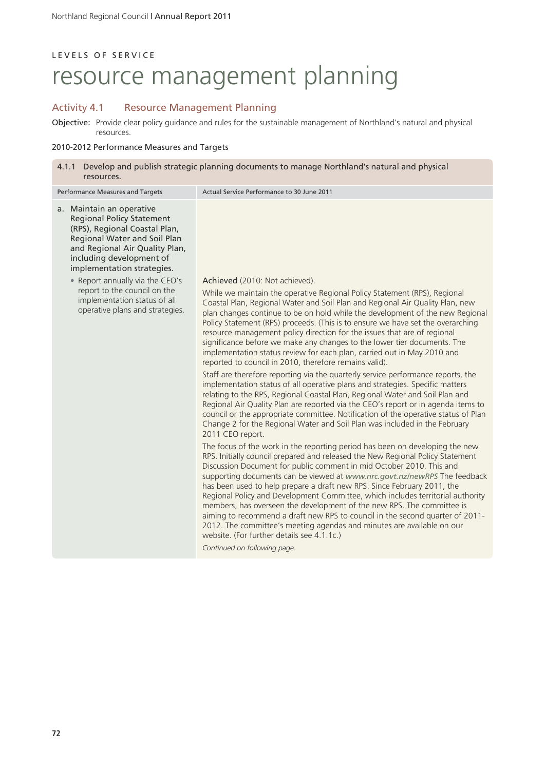## Activity 4.1 Resource Management Planning

Objective: Provide clear policy guidance and rules for the sustainable management of Northland's natural and physical resources.

### 2010-2012 Performance Measures and Targets

| 4.1.1 Develop and publish strategic planning documents to manage Northland's natural and physical<br>resources.                                                                                                           |                                                                                                                                                                                                                                                                                                                                                                                                                                                                                                                                                                                                                                                                                                                                                                                                                                    |  |  |
|---------------------------------------------------------------------------------------------------------------------------------------------------------------------------------------------------------------------------|------------------------------------------------------------------------------------------------------------------------------------------------------------------------------------------------------------------------------------------------------------------------------------------------------------------------------------------------------------------------------------------------------------------------------------------------------------------------------------------------------------------------------------------------------------------------------------------------------------------------------------------------------------------------------------------------------------------------------------------------------------------------------------------------------------------------------------|--|--|
| Performance Measures and Targets                                                                                                                                                                                          | Actual Service Performance to 30 June 2011                                                                                                                                                                                                                                                                                                                                                                                                                                                                                                                                                                                                                                                                                                                                                                                         |  |  |
| a. Maintain an operative<br><b>Regional Policy Statement</b><br>(RPS), Regional Coastal Plan,<br>Regional Water and Soil Plan<br>and Regional Air Quality Plan,<br>including development of<br>implementation strategies. |                                                                                                                                                                                                                                                                                                                                                                                                                                                                                                                                                                                                                                                                                                                                                                                                                                    |  |  |
| • Report annually via the CEO's<br>report to the council on the<br>implementation status of all<br>operative plans and strategies.                                                                                        | Achieved (2010: Not achieved).<br>While we maintain the operative Regional Policy Statement (RPS), Regional<br>Coastal Plan, Regional Water and Soil Plan and Regional Air Quality Plan, new<br>plan changes continue to be on hold while the development of the new Regional<br>Policy Statement (RPS) proceeds. (This is to ensure we have set the overarching<br>resource management policy direction for the issues that are of regional<br>significance before we make any changes to the lower tier documents. The<br>implementation status review for each plan, carried out in May 2010 and<br>reported to council in 2010, therefore remains valid).<br>Staff are therefore reporting via the quarterly service performance reports, the<br>implementation status of all operative plans and strategies. Specific matters |  |  |
|                                                                                                                                                                                                                           | relating to the RPS, Regional Coastal Plan, Regional Water and Soil Plan and<br>Regional Air Quality Plan are reported via the CEO's report or in agenda items to<br>council or the appropriate committee. Notification of the operative status of Plan<br>Change 2 for the Regional Water and Soil Plan was included in the February<br>2011 CEO report.                                                                                                                                                                                                                                                                                                                                                                                                                                                                          |  |  |
|                                                                                                                                                                                                                           | The focus of the work in the reporting period has been on developing the new<br>RPS. Initially council prepared and released the New Regional Policy Statement<br>Discussion Document for public comment in mid October 2010. This and<br>supporting documents can be viewed at www.nrc.govt.nz/newRPS The feedback<br>has been used to help prepare a draft new RPS. Since February 2011, the<br>Regional Policy and Development Committee, which includes territorial authority<br>members, has overseen the development of the new RPS. The committee is<br>aiming to recommend a draft new RPS to council in the second quarter of 2011-<br>2012. The committee's meeting agendas and minutes are available on our<br>website. (For further details see 4.1.1c.)                                                               |  |  |
|                                                                                                                                                                                                                           | Continued on following page.                                                                                                                                                                                                                                                                                                                                                                                                                                                                                                                                                                                                                                                                                                                                                                                                       |  |  |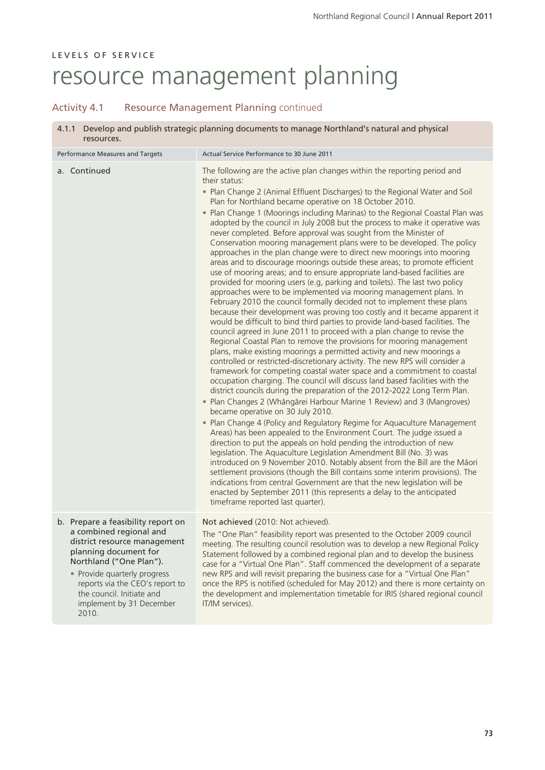## Activity 4.1 Resource Management Planning continued

| Develop and publish strategic planning documents to manage Northland's natural and physical<br>4.1.1<br>resources.                                                                                                                                                                     |                                                                                                                                                                                                                                                                                                                                                                                                                                                                                                                                                                                                                                                                                                                                                                                                                                                                                                                                                                                                                                                                                                                                                                                                                                                                                                                                                                                                                                                                                                                                                                                                                                                                                                                                                                                                                                                                                                                                                                                                                                                                                                                                                                                                                                                                                                                                                                                                                                                                                                                         |  |  |
|----------------------------------------------------------------------------------------------------------------------------------------------------------------------------------------------------------------------------------------------------------------------------------------|-------------------------------------------------------------------------------------------------------------------------------------------------------------------------------------------------------------------------------------------------------------------------------------------------------------------------------------------------------------------------------------------------------------------------------------------------------------------------------------------------------------------------------------------------------------------------------------------------------------------------------------------------------------------------------------------------------------------------------------------------------------------------------------------------------------------------------------------------------------------------------------------------------------------------------------------------------------------------------------------------------------------------------------------------------------------------------------------------------------------------------------------------------------------------------------------------------------------------------------------------------------------------------------------------------------------------------------------------------------------------------------------------------------------------------------------------------------------------------------------------------------------------------------------------------------------------------------------------------------------------------------------------------------------------------------------------------------------------------------------------------------------------------------------------------------------------------------------------------------------------------------------------------------------------------------------------------------------------------------------------------------------------------------------------------------------------------------------------------------------------------------------------------------------------------------------------------------------------------------------------------------------------------------------------------------------------------------------------------------------------------------------------------------------------------------------------------------------------------------------------------------------------|--|--|
| Performance Measures and Targets                                                                                                                                                                                                                                                       | Actual Service Performance to 30 June 2011                                                                                                                                                                                                                                                                                                                                                                                                                                                                                                                                                                                                                                                                                                                                                                                                                                                                                                                                                                                                                                                                                                                                                                                                                                                                                                                                                                                                                                                                                                                                                                                                                                                                                                                                                                                                                                                                                                                                                                                                                                                                                                                                                                                                                                                                                                                                                                                                                                                                              |  |  |
| a. Continued                                                                                                                                                                                                                                                                           | The following are the active plan changes within the reporting period and<br>their status:<br>• Plan Change 2 (Animal Effluent Discharges) to the Regional Water and Soil<br>Plan for Northland became operative on 18 October 2010.<br>. Plan Change 1 (Moorings including Marinas) to the Regional Coastal Plan was<br>adopted by the council in July 2008 but the process to make it operative was<br>never completed. Before approval was sought from the Minister of<br>Conservation mooring management plans were to be developed. The policy<br>approaches in the plan change were to direct new moorings into mooring<br>areas and to discourage moorings outside these areas; to promote efficient<br>use of mooring areas; and to ensure appropriate land-based facilities are<br>provided for mooring users (e.g, parking and toilets). The last two policy<br>approaches were to be implemented via mooring management plans. In<br>February 2010 the council formally decided not to implement these plans<br>because their development was proving too costly and it became apparent it<br>would be difficult to bind third parties to provide land-based facilities. The<br>council agreed in June 2011 to proceed with a plan change to revise the<br>Regional Coastal Plan to remove the provisions for mooring management<br>plans, make existing moorings a permitted activity and new moorings a<br>controlled or restricted-discretionary activity. The new RPS will consider a<br>framework for competing coastal water space and a commitment to coastal<br>occupation charging. The council will discuss land based facilities with the<br>district councils during the preparation of the 2012-2022 Long Term Plan.<br>• Plan Changes 2 (Whāngārei Harbour Marine 1 Review) and 3 (Mangroves)<br>became operative on 30 July 2010.<br>• Plan Change 4 (Policy and Regulatory Regime for Aquaculture Management<br>Areas) has been appealed to the Environment Court. The judge issued a<br>direction to put the appeals on hold pending the introduction of new<br>legislation. The Aquaculture Legislation Amendment Bill (No. 3) was<br>introduced on 9 November 2010. Notably absent from the Bill are the Māori<br>settlement provisions (though the Bill contains some interim provisions). The<br>indications from central Government are that the new legislation will be<br>enacted by September 2011 (this represents a delay to the anticipated<br>timeframe reported last quarter). |  |  |
| b. Prepare a feasibility report on<br>a combined regional and<br>district resource management<br>planning document for<br>Northland ("One Plan").<br>• Provide quarterly progress<br>reports via the CEO's report to<br>the council. Initiate and<br>implement by 31 December<br>2010. | Not achieved (2010: Not achieved).<br>The "One Plan" feasibility report was presented to the October 2009 council<br>meeting. The resulting council resolution was to develop a new Regional Policy<br>Statement followed by a combined regional plan and to develop the business<br>case for a "Virtual One Plan". Staff commenced the development of a separate<br>new RPS and will revisit preparing the business case for a "Virtual One Plan"<br>once the RPS is notified (scheduled for May 2012) and there is more certainty on<br>the development and implementation timetable for IRIS (shared regional council<br>IT/IM services).                                                                                                                                                                                                                                                                                                                                                                                                                                                                                                                                                                                                                                                                                                                                                                                                                                                                                                                                                                                                                                                                                                                                                                                                                                                                                                                                                                                                                                                                                                                                                                                                                                                                                                                                                                                                                                                                            |  |  |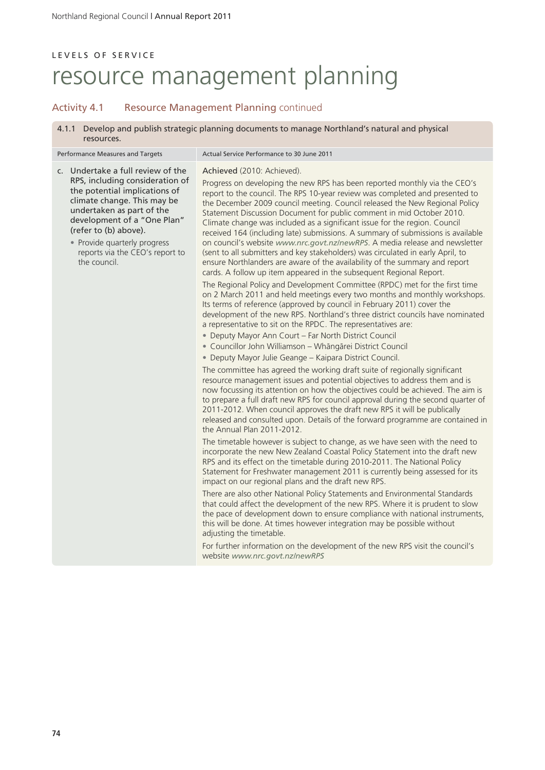## L E V E L S O F S E R V I C E resource management planning

### Activity 4.1 Resource Management Planning continued

Performance Measures and Targets Actual Service Performance to 30 June 2011

4.1.1 Develop and publish strategic planning documents to manage Northland's natural and physical resources.

c. Undertake a full review of the RPS, including consideration of the potential implications of climate change. This may be undertaken as part of the development of a "One Plan" (refer to (b) above).

> • Provide quarterly progress reports via the CEO's report to the council.

Achieved (2010: Achieved).

Progress on developing the new RPS has been reported monthly via the CEO's report to the council. The RPS 10-year review was completed and presented to the December 2009 council meeting. Council released the New Regional Policy Statement Discussion Document for public comment in mid October 2010. Climate change was included as a significant issue for the region. Council received 164 (including late) submissions. A summary of submissions is available on council's website *www.nrc.govt.nz/newRPS*. A media release and newsletter (sent to all submitters and key stakeholders) was circulated in early April, to ensure Northlanders are aware of the availability of the summary and report cards. A follow up item appeared in the subsequent Regional Report.

The Regional Policy and Development Committee (RPDC) met for the first time on 2 March 2011 and held meetings every two months and monthly workshops. Its terms of reference (approved by council in February 2011) cover the development of the new RPS. Northland's three district councils have nominated a representative to sit on the RPDC. The representatives are:

- Deputy Mayor Ann Court Far North District Council
- Councillor John Williamson Whängärei District Council
- Deputy Mayor Julie Geange Kaipara District Council.

The committee has agreed the working draft suite of regionally significant resource management issues and potential objectives to address them and is now focussing its attention on how the objectives could be achieved. The aim is to prepare a full draft new RPS for council approval during the second quarter of 2011-2012. When council approves the draft new RPS it will be publically released and consulted upon. Details of the forward programme are contained in the Annual Plan 2011-2012.

The timetable however is subject to change, as we have seen with the need to incorporate the new New Zealand Coastal Policy Statement into the draft new RPS and its effect on the timetable during 2010-2011. The National Policy Statement for Freshwater management 2011 is currently being assessed for its impact on our regional plans and the draft new RPS.

There are also other National Policy Statements and Environmental Standards that could affect the development of the new RPS. Where it is prudent to slow the pace of development down to ensure compliance with national instruments, this will be done. At times however integration may be possible without adjusting the timetable.

For further information on the development of the new RPS visit the council's website *www.nrc.govt.nz/newRPS*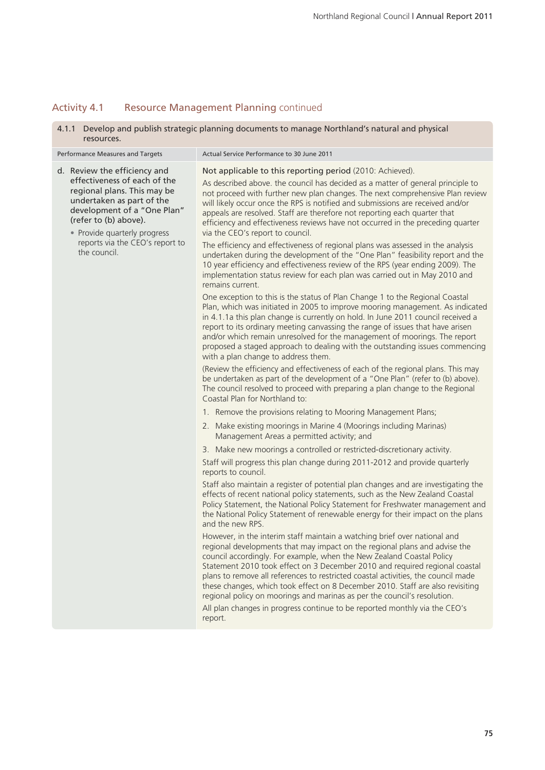## Activity 4.1 Resource Management Planning continued

| 4.1.1 Develop and publish strategic planning documents to manage Northland's natural and physical<br>resources.                                                                                                  |                                                                                                                                                                                                                                                                                                                                                                                                                                                                                                                                                                                                                                                             |  |  |
|------------------------------------------------------------------------------------------------------------------------------------------------------------------------------------------------------------------|-------------------------------------------------------------------------------------------------------------------------------------------------------------------------------------------------------------------------------------------------------------------------------------------------------------------------------------------------------------------------------------------------------------------------------------------------------------------------------------------------------------------------------------------------------------------------------------------------------------------------------------------------------------|--|--|
| Performance Measures and Targets                                                                                                                                                                                 | Actual Service Performance to 30 June 2011                                                                                                                                                                                                                                                                                                                                                                                                                                                                                                                                                                                                                  |  |  |
| d. Review the efficiency and<br>effectiveness of each of the<br>regional plans. This may be<br>undertaken as part of the<br>development of a "One Plan"<br>(refer to (b) above).<br>• Provide quarterly progress | Not applicable to this reporting period (2010: Achieved).<br>As described above. the council has decided as a matter of general principle to<br>not proceed with further new plan changes. The next comprehensive Plan review<br>will likely occur once the RPS is notified and submissions are received and/or<br>appeals are resolved. Staff are therefore not reporting each quarter that<br>efficiency and effectiveness reviews have not occurred in the preceding quarter<br>via the CEO's report to council.                                                                                                                                         |  |  |
| reports via the CEO's report to<br>the council.                                                                                                                                                                  | The efficiency and effectiveness of regional plans was assessed in the analysis<br>undertaken during the development of the "One Plan" feasibility report and the<br>10 year efficiency and effectiveness review of the RPS (year ending 2009). The<br>implementation status review for each plan was carried out in May 2010 and<br>remains current.                                                                                                                                                                                                                                                                                                       |  |  |
|                                                                                                                                                                                                                  | One exception to this is the status of Plan Change 1 to the Regional Coastal<br>Plan, which was initiated in 2005 to improve mooring management. As indicated<br>in 4.1.1a this plan change is currently on hold. In June 2011 council received a<br>report to its ordinary meeting canvassing the range of issues that have arisen<br>and/or which remain unresolved for the management of moorings. The report<br>proposed a staged approach to dealing with the outstanding issues commencing<br>with a plan change to address them.                                                                                                                     |  |  |
|                                                                                                                                                                                                                  | (Review the efficiency and effectiveness of each of the regional plans. This may<br>be undertaken as part of the development of a "One Plan" (refer to (b) above).<br>The council resolved to proceed with preparing a plan change to the Regional<br>Coastal Plan for Northland to:                                                                                                                                                                                                                                                                                                                                                                        |  |  |
|                                                                                                                                                                                                                  | 1. Remove the provisions relating to Mooring Management Plans;                                                                                                                                                                                                                                                                                                                                                                                                                                                                                                                                                                                              |  |  |
|                                                                                                                                                                                                                  | 2. Make existing moorings in Marine 4 (Moorings including Marinas)<br>Management Areas a permitted activity; and                                                                                                                                                                                                                                                                                                                                                                                                                                                                                                                                            |  |  |
|                                                                                                                                                                                                                  | 3. Make new moorings a controlled or restricted-discretionary activity.                                                                                                                                                                                                                                                                                                                                                                                                                                                                                                                                                                                     |  |  |
|                                                                                                                                                                                                                  | Staff will progress this plan change during 2011-2012 and provide quarterly<br>reports to council.                                                                                                                                                                                                                                                                                                                                                                                                                                                                                                                                                          |  |  |
|                                                                                                                                                                                                                  | Staff also maintain a register of potential plan changes and are investigating the<br>effects of recent national policy statements, such as the New Zealand Coastal<br>Policy Statement, the National Policy Statement for Freshwater management and<br>the National Policy Statement of renewable energy for their impact on the plans<br>and the new RPS.                                                                                                                                                                                                                                                                                                 |  |  |
|                                                                                                                                                                                                                  | However, in the interim staff maintain a watching brief over national and<br>regional developments that may impact on the regional plans and advise the<br>council accordingly. For example, when the New Zealand Coastal Policy<br>Statement 2010 took effect on 3 December 2010 and required regional coastal<br>plans to remove all references to restricted coastal activities, the council made<br>these changes, which took effect on 8 December 2010. Staff are also revisiting<br>regional policy on moorings and marinas as per the council's resolution.<br>All plan changes in progress continue to be reported monthly via the CEO's<br>report. |  |  |
|                                                                                                                                                                                                                  |                                                                                                                                                                                                                                                                                                                                                                                                                                                                                                                                                                                                                                                             |  |  |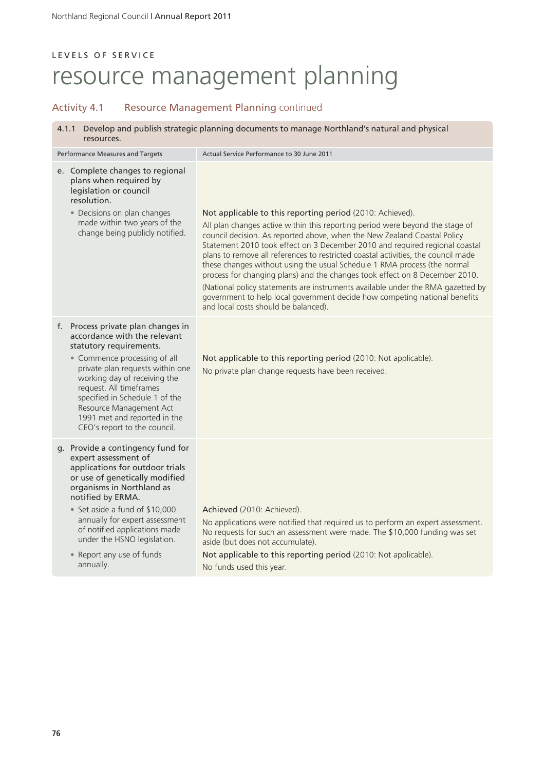## Activity 4.1 Resource Management Planning continued

| 4.1.1<br>resources.              | Develop and publish strategic planning documents to manage Northland's natural and physical |  |  |
|----------------------------------|---------------------------------------------------------------------------------------------|--|--|
| Performance Measures and Targets | Actual Service Performance to 30 June 2011                                                  |  |  |

| e. Complete changes to regional |
|---------------------------------|
| plans when required by          |
| legislation or council          |
| resolution.                     |

• Decisions on plan changes made within two years of the change being publicly notified.

### Not applicable to this reporting period (2010: Achieved).

All plan changes active within this reporting period were beyond the stage of council decision. As reported above, when the New Zealand Coastal Policy Statement 2010 took effect on 3 December 2010 and required regional coastal plans to remove all references to restricted coastal activities, the council made these changes without using the usual Schedule 1 RMA process (the normal process for changing plans) and the changes took effect on 8 December 2010. (National policy statements are instruments available under the RMA gazetted by government to help local government decide how competing national benefits and local costs should be balanced).

### f. Process private plan changes in accordance with the relevant statutory requirements.

- Commence processing of all private plan requests within one working day of receiving the request. All timeframes specified in Schedule 1 of the Resource Management Act 1991 met and reported in the CEO's report to the council.
- g. Provide a contingency fund for expert assessment of applications for outdoor trials or use of genetically modified organisms in Northland as notified by ERMA.
	- Set aside a fund of \$10,000 annually for expert assessment of notified applications made under the HSNO legislation.
	- Report any use of funds annually.

Achieved (2010: Achieved).

No applications were notified that required us to perform an expert assessment. No requests for such an assessment were made. The \$10,000 funding was set aside (but does not accumulate).

Not applicable to this reporting period (2010: Not applicable). No funds used this year.

Not applicable to this reporting period (2010: Not applicable).

No private plan change requests have been received.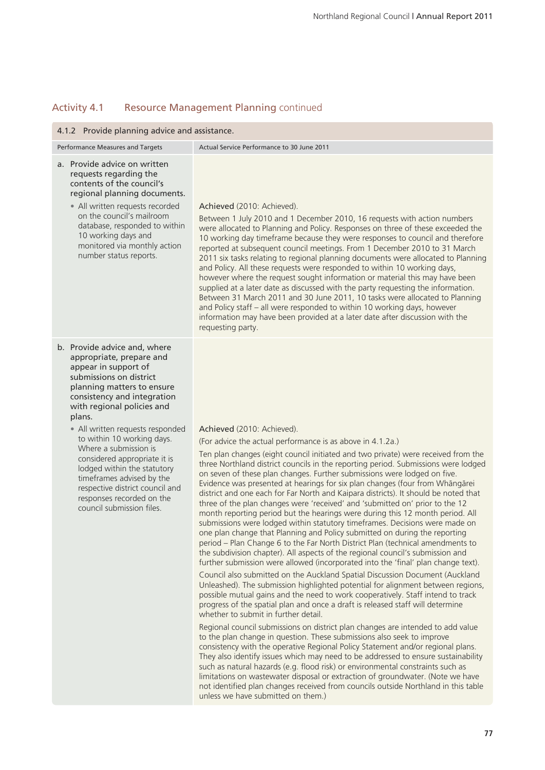## Activity 4.1 Resource Management Planning continued

| 4.1.2 Provide planning advice and assistance.                                                                                                                                                                                                                                                                                                                                                                                                                                                        |                                                                                                                                                                                                                                                                                                                                                                                                                                                                                                                                                                                                                                                                                                                                                                                                                                                                                                                                                                                                                                                                                                                                                                                                                                                                                                                                                                                                                                                                                                                                                                                                                                                                                                                                                                                                                                                                                                                                                                                                                                                                                                                                    |  |  |
|------------------------------------------------------------------------------------------------------------------------------------------------------------------------------------------------------------------------------------------------------------------------------------------------------------------------------------------------------------------------------------------------------------------------------------------------------------------------------------------------------|------------------------------------------------------------------------------------------------------------------------------------------------------------------------------------------------------------------------------------------------------------------------------------------------------------------------------------------------------------------------------------------------------------------------------------------------------------------------------------------------------------------------------------------------------------------------------------------------------------------------------------------------------------------------------------------------------------------------------------------------------------------------------------------------------------------------------------------------------------------------------------------------------------------------------------------------------------------------------------------------------------------------------------------------------------------------------------------------------------------------------------------------------------------------------------------------------------------------------------------------------------------------------------------------------------------------------------------------------------------------------------------------------------------------------------------------------------------------------------------------------------------------------------------------------------------------------------------------------------------------------------------------------------------------------------------------------------------------------------------------------------------------------------------------------------------------------------------------------------------------------------------------------------------------------------------------------------------------------------------------------------------------------------------------------------------------------------------------------------------------------------|--|--|
| Performance Measures and Targets                                                                                                                                                                                                                                                                                                                                                                                                                                                                     | Actual Service Performance to 30 June 2011                                                                                                                                                                                                                                                                                                                                                                                                                                                                                                                                                                                                                                                                                                                                                                                                                                                                                                                                                                                                                                                                                                                                                                                                                                                                                                                                                                                                                                                                                                                                                                                                                                                                                                                                                                                                                                                                                                                                                                                                                                                                                         |  |  |
| a. Provide advice on written<br>requests regarding the<br>contents of the council's<br>regional planning documents.<br>• All written requests recorded<br>on the council's mailroom<br>database, responded to within<br>10 working days and<br>monitored via monthly action<br>number status reports.                                                                                                                                                                                                | Achieved (2010: Achieved).<br>Between 1 July 2010 and 1 December 2010, 16 requests with action numbers<br>were allocated to Planning and Policy. Responses on three of these exceeded the<br>10 working day timeframe because they were responses to council and therefore<br>reported at subsequent council meetings. From 1 December 2010 to 31 March<br>2011 six tasks relating to regional planning documents were allocated to Planning<br>and Policy. All these requests were responded to within 10 working days,<br>however where the request sought information or material this may have been<br>supplied at a later date as discussed with the party requesting the information.<br>Between 31 March 2011 and 30 June 2011, 10 tasks were allocated to Planning<br>and Policy staff - all were responded to within 10 working days, however<br>information may have been provided at a later date after discussion with the<br>requesting party.                                                                                                                                                                                                                                                                                                                                                                                                                                                                                                                                                                                                                                                                                                                                                                                                                                                                                                                                                                                                                                                                                                                                                                        |  |  |
| b. Provide advice and, where<br>appropriate, prepare and<br>appear in support of<br>submissions on district<br>planning matters to ensure<br>consistency and integration<br>with regional policies and<br>plans.<br>• All written requests responded<br>to within 10 working days.<br>Where a submission is<br>considered appropriate it is<br>lodged within the statutory<br>timeframes advised by the<br>respective district council and<br>responses recorded on the<br>council submission files. | Achieved (2010: Achieved).<br>(For advice the actual performance is as above in 4.1.2a.)<br>Ten plan changes (eight council initiated and two private) were received from the<br>three Northland district councils in the reporting period. Submissions were lodged<br>on seven of these plan changes. Further submissions were lodged on five.<br>Evidence was presented at hearings for six plan changes (four from Whāngārei<br>district and one each for Far North and Kaipara districts). It should be noted that<br>three of the plan changes were 'received' and 'submitted on' prior to the 12<br>month reporting period but the hearings were during this 12 month period. All<br>submissions were lodged within statutory timeframes. Decisions were made on<br>one plan change that Planning and Policy submitted on during the reporting<br>period - Plan Change 6 to the Far North District Plan (technical amendments to<br>the subdivision chapter). All aspects of the regional council's submission and<br>further submission were allowed (incorporated into the 'final' plan change text).<br>Council also submitted on the Auckland Spatial Discussion Document (Auckland<br>Unleashed). The submission highlighted potential for alignment between regions,<br>possible mutual gains and the need to work cooperatively. Staff intend to track<br>progress of the spatial plan and once a draft is released staff will determine<br>whether to submit in further detail.<br>Regional council submissions on district plan changes are intended to add value<br>to the plan change in question. These submissions also seek to improve<br>consistency with the operative Regional Policy Statement and/or regional plans.<br>They also identify issues which may need to be addressed to ensure sustainability<br>such as natural hazards (e.g. flood risk) or environmental constraints such as<br>limitations on wastewater disposal or extraction of groundwater. (Note we have<br>not identified plan changes received from councils outside Northland in this table<br>unless we have submitted on them.) |  |  |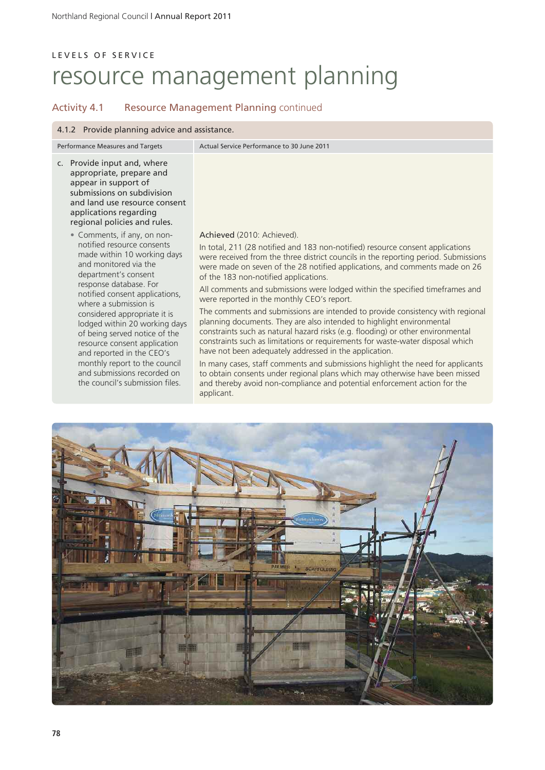## L E V E L S O F S E R V I C E resource management planning

## Activity 4.1 Resource Management Planning continued

#### 4.1.2 Provide planning advice and assistance.

Performance Measures and Targets Actual Service Performance to 30 June 2011

- c. Provide input and, where appropriate, prepare and appear in support of submissions on subdivision and land use resource consent applications regarding regional policies and rules.
	- Comments, if any, on nonnotified resource consents made within 10 working days and monitored via the department's consent response database. For notified consent applications, where a submission is considered appropriate it is lodged within 20 working days of being served notice of the resource consent application and reported in the CEO's monthly report to the council and submissions recorded on the council's submission files.

### Achieved (2010: Achieved).

In total, 211 (28 notified and 183 non-notified) resource consent applications were received from the three district councils in the reporting period. Submissions were made on seven of the 28 notified applications, and comments made on 26 of the 183 non-notified applications.

All comments and submissions were lodged within the specified timeframes and were reported in the monthly CEO's report.

The comments and submissions are intended to provide consistency with regional planning documents. They are also intended to highlight environmental constraints such as natural hazard risks (e.g. flooding) or other environmental constraints such as limitations or requirements for waste-water disposal which have not been adequately addressed in the application.

In many cases, staff comments and submissions highlight the need for applicants to obtain consents under regional plans which may otherwise have been missed and thereby avoid non-compliance and potential enforcement action for the applicant.

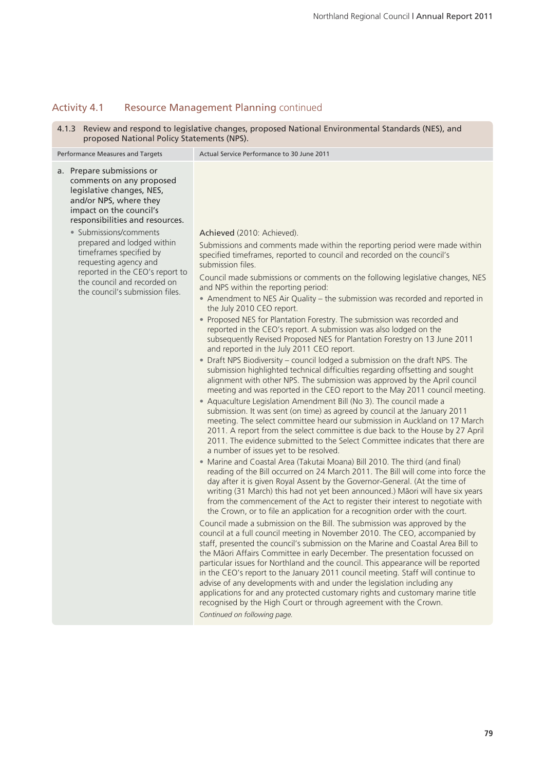## Activity 4.1 Resource Management Planning continued

4.1.3 Review and respond to legislative changes, proposed National Environmental Standards (NES), and proposed National Policy Statements (NPS).

| Performance Measures and Targets                                                                                                                                                                     | Actual Service Performance to 30 June 2011                                                                                                                                                                                                                                                                                                                                                                                                                                                                                                                                                                                                                                                                                                                                                                                                                                                                                                                                                                                                                                                                                                                                                                                                                                                                                                                                                                                                                                                                                                                                           |  |  |
|------------------------------------------------------------------------------------------------------------------------------------------------------------------------------------------------------|--------------------------------------------------------------------------------------------------------------------------------------------------------------------------------------------------------------------------------------------------------------------------------------------------------------------------------------------------------------------------------------------------------------------------------------------------------------------------------------------------------------------------------------------------------------------------------------------------------------------------------------------------------------------------------------------------------------------------------------------------------------------------------------------------------------------------------------------------------------------------------------------------------------------------------------------------------------------------------------------------------------------------------------------------------------------------------------------------------------------------------------------------------------------------------------------------------------------------------------------------------------------------------------------------------------------------------------------------------------------------------------------------------------------------------------------------------------------------------------------------------------------------------------------------------------------------------------|--|--|
| a. Prepare submissions or<br>comments on any proposed<br>legislative changes, NES,<br>and/or NPS, where they<br>impact on the council's<br>responsibilities and resources.<br>• Submissions/comments | Achieved (2010: Achieved).                                                                                                                                                                                                                                                                                                                                                                                                                                                                                                                                                                                                                                                                                                                                                                                                                                                                                                                                                                                                                                                                                                                                                                                                                                                                                                                                                                                                                                                                                                                                                           |  |  |
| prepared and lodged within<br>timeframes specified by<br>requesting agency and                                                                                                                       | Submissions and comments made within the reporting period were made within<br>specified timeframes, reported to council and recorded on the council's<br>submission files.                                                                                                                                                                                                                                                                                                                                                                                                                                                                                                                                                                                                                                                                                                                                                                                                                                                                                                                                                                                                                                                                                                                                                                                                                                                                                                                                                                                                           |  |  |
| reported in the CEO's report to<br>the council and recorded on<br>the council's submission files.                                                                                                    | Council made submissions or comments on the following legislative changes, NES<br>and NPS within the reporting period:<br>• Amendment to NES Air Quality - the submission was recorded and reported in                                                                                                                                                                                                                                                                                                                                                                                                                                                                                                                                                                                                                                                                                                                                                                                                                                                                                                                                                                                                                                                                                                                                                                                                                                                                                                                                                                               |  |  |
|                                                                                                                                                                                                      | the July 2010 CEO report.<br>• Proposed NES for Plantation Forestry. The submission was recorded and<br>reported in the CEO's report. A submission was also lodged on the<br>subsequently Revised Proposed NES for Plantation Forestry on 13 June 2011<br>and reported in the July 2011 CEO report.<br>• Draft NPS Biodiversity - council lodged a submission on the draft NPS. The<br>submission highlighted technical difficulties regarding offsetting and sought<br>alignment with other NPS. The submission was approved by the April council<br>meeting and was reported in the CEO report to the May 2011 council meeting.<br>• Aquaculture Legislation Amendment Bill (No 3). The council made a<br>submission. It was sent (on time) as agreed by council at the January 2011<br>meeting. The select committee heard our submission in Auckland on 17 March<br>2011. A report from the select committee is due back to the House by 27 April<br>2011. The evidence submitted to the Select Committee indicates that there are<br>a number of issues yet to be resolved.<br>• Marine and Coastal Area (Takutai Moana) Bill 2010. The third (and final)<br>reading of the Bill occurred on 24 March 2011. The Bill will come into force the<br>day after it is given Royal Assent by the Governor-General. (At the time of<br>writing (31 March) this had not yet been announced.) Māori will have six years<br>from the commencement of the Act to register their interest to negotiate with<br>the Crown, or to file an application for a recognition order with the court. |  |  |
|                                                                                                                                                                                                      | Council made a submission on the Bill. The submission was approved by the<br>council at a full council meeting in November 2010. The CEO, accompanied by<br>staff, presented the council's submission on the Marine and Coastal Area Bill to<br>the Māori Affairs Committee in early December. The presentation focussed on<br>particular issues for Northland and the council. This appearance will be reported<br>in the CEO's report to the January 2011 council meeting. Staff will continue to<br>advise of any developments with and under the legislation including any<br>applications for and any protected customary rights and customary marine title<br>recognised by the High Court or through agreement with the Crown.<br>Continued on following page.                                                                                                                                                                                                                                                                                                                                                                                                                                                                                                                                                                                                                                                                                                                                                                                                                |  |  |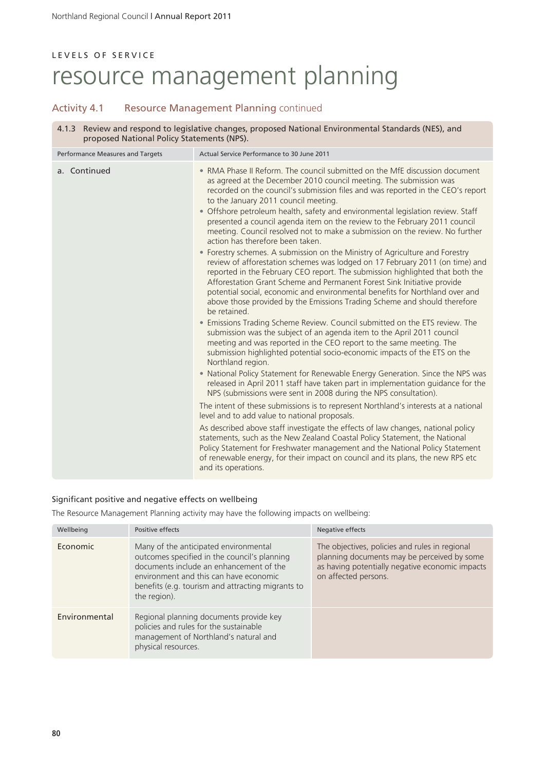### Activity 4.1 Resource Management Planning continued

|                                            | 4.1.3 Review and respond to legislative changes, proposed National Environmental Standards (NES), and |  |
|--------------------------------------------|-------------------------------------------------------------------------------------------------------|--|
| proposed National Policy Statements (NPS). |                                                                                                       |  |

| Performance Measures and Targets | Actual Service Performance to 30 June 2011                                                                                                                                                                                                                                                                                                                                                                                                                                                                                                                                                                                                                     |
|----------------------------------|----------------------------------------------------------------------------------------------------------------------------------------------------------------------------------------------------------------------------------------------------------------------------------------------------------------------------------------------------------------------------------------------------------------------------------------------------------------------------------------------------------------------------------------------------------------------------------------------------------------------------------------------------------------|
| a. Continued                     | • RMA Phase II Reform. The council submitted on the MfE discussion document<br>as agreed at the December 2010 council meeting. The submission was<br>recorded on the council's submission files and was reported in the CEO's report<br>to the January 2011 council meeting.<br>• Offshore petroleum health, safety and environmental legislation review. Staff<br>presented a council agenda item on the review to the February 2011 council<br>meeting. Council resolved not to make a submission on the review. No further<br>action has therefore been taken.                                                                                              |
|                                  | • Forestry schemes. A submission on the Ministry of Agriculture and Forestry<br>review of afforestation schemes was lodged on 17 February 2011 (on time) and<br>reported in the February CEO report. The submission highlighted that both the<br>Afforestation Grant Scheme and Permanent Forest Sink Initiative provide<br>potential social, economic and environmental benefits for Northland over and<br>above those provided by the Emissions Trading Scheme and should therefore<br>be retained.<br>• Emissions Trading Scheme Review. Council submitted on the ETS review. The<br>submission was the subject of an agenda item to the April 2011 council |
|                                  | meeting and was reported in the CEO report to the same meeting. The<br>submission highlighted potential socio-economic impacts of the ETS on the<br>Northland region.<br>• National Policy Statement for Renewable Energy Generation. Since the NPS was<br>released in April 2011 staff have taken part in implementation guidance for the<br>NPS (submissions were sent in 2008 during the NPS consultation).                                                                                                                                                                                                                                                 |
|                                  | The intent of these submissions is to represent Northland's interests at a national<br>level and to add value to national proposals.                                                                                                                                                                                                                                                                                                                                                                                                                                                                                                                           |
|                                  | As described above staff investigate the effects of law changes, national policy<br>statements, such as the New Zealand Coastal Policy Statement, the National<br>Policy Statement for Freshwater management and the National Policy Statement<br>of renewable energy, for their impact on council and its plans, the new RPS etc<br>and its operations.                                                                                                                                                                                                                                                                                                       |

### Significant positive and negative effects on wellbeing

The Resource Management Planning activity may have the following impacts on wellbeing:

| Wellbeing     | Positive effects                                                                                                                                                                                                                                | Negative effects                                                                                                                                                         |
|---------------|-------------------------------------------------------------------------------------------------------------------------------------------------------------------------------------------------------------------------------------------------|--------------------------------------------------------------------------------------------------------------------------------------------------------------------------|
| Economic      | Many of the anticipated environmental<br>outcomes specified in the council's planning<br>documents include an enhancement of the<br>environment and this can have economic<br>benefits (e.g. tourism and attracting migrants to<br>the region). | The objectives, policies and rules in regional<br>planning documents may be perceived by some<br>as having potentially negative economic impacts<br>on affected persons. |
| Environmental | Regional planning documents provide key<br>policies and rules for the sustainable<br>management of Northland's natural and<br>physical resources.                                                                                               |                                                                                                                                                                          |